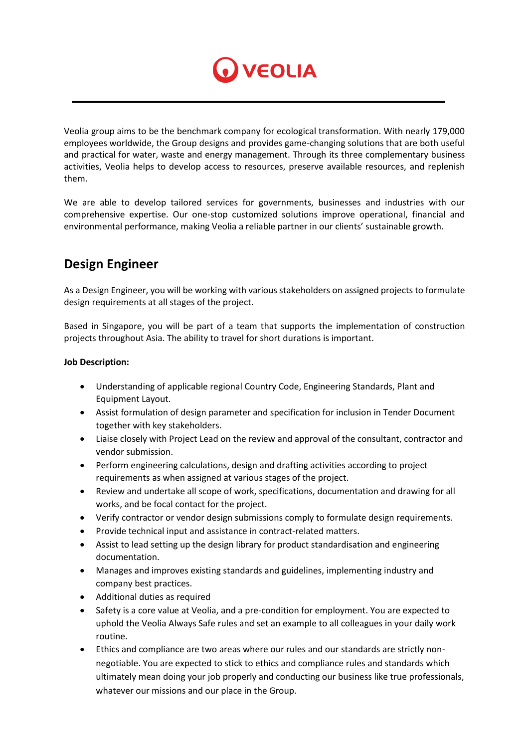

Veolia group aims to be the benchmark company for ecological transformation. With nearly 179,000 employees worldwide, the Group designs and provides game-changing solutions that are both useful and practical for water, waste and energy management. Through its three complementary business activities, Veolia helps to develop access to resources, preserve available resources, and replenish them.

We are able to develop tailored services for governments, businesses and industries with our comprehensive expertise. Our one-stop customized solutions improve operational, financial and environmental performance, making Veolia a reliable partner in our clients' sustainable growth.

## **Design Engineer**

As a Design Engineer, you will be working with various stakeholders on assigned projects to formulate design requirements at all stages of the project.

Based in Singapore, you will be part of a team that supports the implementation of construction projects throughout Asia. The ability to travel for short durations is important.

## **Job Description:**

- Understanding of applicable regional Country Code, Engineering Standards, Plant and Equipment Layout.
- Assist formulation of design parameter and specification for inclusion in Tender Document together with key stakeholders.
- Liaise closely with Project Lead on the review and approval of the consultant, contractor and vendor submission.
- Perform engineering calculations, design and drafting activities according to project requirements as when assigned at various stages of the project.
- Review and undertake all scope of work, specifications, documentation and drawing for all works, and be focal contact for the project.
- Verify contractor or vendor design submissions comply to formulate design requirements.
- Provide technical input and assistance in contract-related matters.
- Assist to lead setting up the design library for product standardisation and engineering documentation.
- Manages and improves existing standards and guidelines, implementing industry and company best practices.
- Additional duties as required
- Safety is a core value at Veolia, and a pre-condition for employment. You are expected to uphold the Veolia Always Safe rules and set an example to all colleagues in your daily work routine.
- Ethics and compliance are two areas where our rules and our standards are strictly nonnegotiable. You are expected to stick to ethics and compliance rules and standards which ultimately mean doing your job properly and conducting our business like true professionals, whatever our missions and our place in the Group.